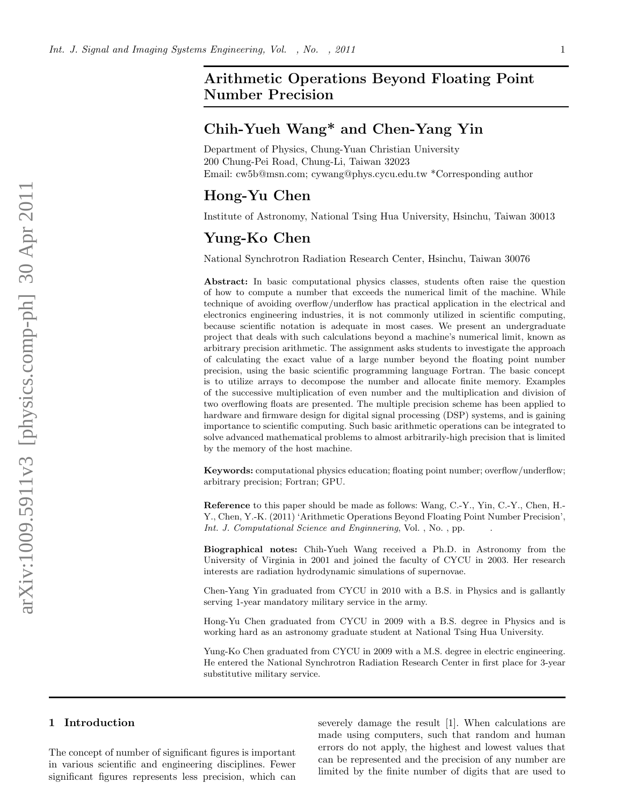# Arithmetic Operations Beyond Floating Point Number Precision

# Chih-Yueh Wang\* and Chen-Yang Yin

Department of Physics, Chung-Yuan Christian University 200 Chung-Pei Road, Chung-Li, Taiwan 32023 Email: cw5b@msn.com; cywang@phys.cycu.edu.tw \*Corresponding author

# Hong-Yu Chen

Institute of Astronomy, National Tsing Hua University, Hsinchu, Taiwan 30013

# Yung-Ko Chen

National Synchrotron Radiation Research Center, Hsinchu, Taiwan 30076

Abstract: In basic computational physics classes, students often raise the question of how to compute a number that exceeds the numerical limit of the machine. While technique of avoiding overflow/underflow has practical application in the electrical and electronics engineering industries, it is not commonly utilized in scientific computing, because scientific notation is adequate in most cases. We present an undergraduate project that deals with such calculations beyond a machine's numerical limit, known as arbitrary precision arithmetic. The assignment asks students to investigate the approach of calculating the exact value of a large number beyond the floating point number precision, using the basic scientific programming language Fortran. The basic concept is to utilize arrays to decompose the number and allocate finite memory. Examples of the successive multiplication of even number and the multiplication and division of two overflowing floats are presented. The multiple precision scheme has been applied to hardware and firmware design for digital signal processing (DSP) systems, and is gaining importance to scientific computing. Such basic arithmetic operations can be integrated to solve advanced mathematical problems to almost arbitrarily-high precision that is limited by the memory of the host machine.

Keywords: computational physics education; floating point number; overflow/underflow; arbitrary precision; Fortran; GPU.

Reference to this paper should be made as follows: Wang, C.-Y., Yin, C.-Y., Chen, H.- Y., Chen, Y.-K. (2011) 'Arithmetic Operations Beyond Floating Point Number Precision', Int. J. Computational Science and Enginnering, Vol., No., pp.

Biographical notes: Chih-Yueh Wang received a Ph.D. in Astronomy from the University of Virginia in 2001 and joined the faculty of CYCU in 2003. Her research interests are radiation hydrodynamic simulations of supernovae.

Chen-Yang Yin graduated from CYCU in 2010 with a B.S. in Physics and is gallantly serving 1-year mandatory military service in the army.

Hong-Yu Chen graduated from CYCU in 2009 with a B.S. degree in Physics and is working hard as an astronomy graduate student at National Tsing Hua University.

Yung-Ko Chen graduated from CYCU in 2009 with a M.S. degree in electric engineering. He entered the National Synchrotron Radiation Research Center in first place for 3-year substitutive military service.

#### 1 Introduction

The concept of number of significant figures is important in various scientific and engineering disciplines. Fewer significant figures represents less precision, which can severely damage the result [1]. When calculations are made using computers, such that random and human errors do not apply, the highest and lowest values that can be represented and the precision of any number are limited by the finite number of digits that are used to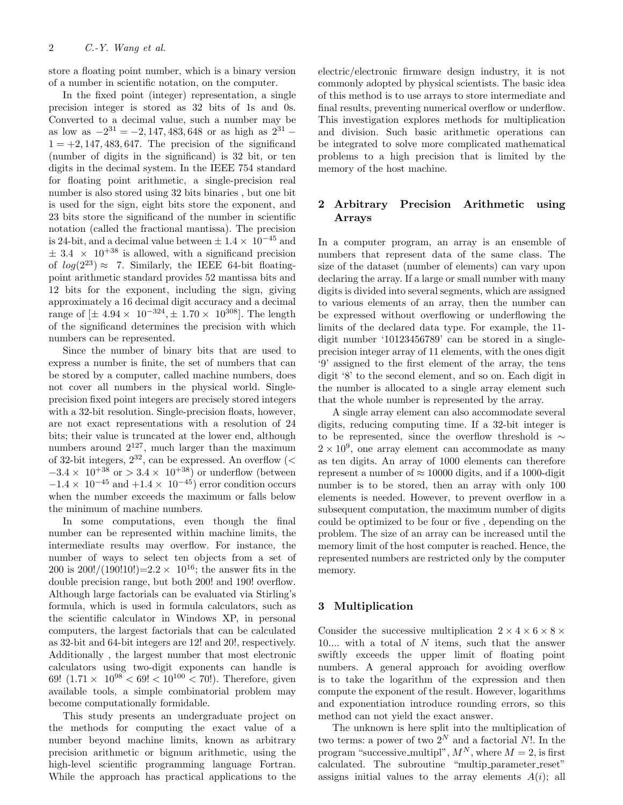store a floating point number, which is a binary version of a number in scientific notation, on the computer.

In the fixed point (integer) representation, a single precision integer is stored as 32 bits of 1s and 0s. Converted to a decimal value, such a number may be as low as  $-2^{31} = -2, 147, 483, 648$  or as high as  $2^{31}$  –  $1 = +2, 147, 483, 647$ . The precision of the significand (number of digits in the significand) is 32 bit, or ten digits in the decimal system. In the IEEE 754 standard for floating point arithmetic, a single-precision real number is also stored using 32 bits binaries , but one bit is used for the sign, eight bits store the exponent, and 23 bits store the significand of the number in scientific notation (called the fractional mantissa). The precision is 24-bit, and a decimal value between  $\pm 1.4 \times 10^{-45}$  and  $\pm$  3.4  $\times$  10<sup>+38</sup> is allowed, with a significand precision of  $log(2^{23}) \approx 7$ . Similarly, the IEEE 64-bit floatingpoint arithmetic standard provides 52 mantissa bits and 12 bits for the exponent, including the sign, giving approximately a 16 decimal digit accuracy and a decimal range of  $[\pm 4.94 \times 10^{-324}, \pm 1.70 \times 10^{308}]$ . The length of the significand determines the precision with which numbers can be represented.

Since the number of binary bits that are used to express a number is finite, the set of numbers that can be stored by a computer, called machine numbers, does not cover all numbers in the physical world. Singleprecision fixed point integers are precisely stored integers with a 32-bit resolution. Single-precision floats, however, are not exact representations with a resolution of 24 bits; their value is truncated at the lower end, although numbers around  $2^{127}$ , much larger than the maximum of 32-bit integers,  $2^{32}$ , can be expressed. An overflow (<  $-3.4 \times 10^{+38}$  or  $> 3.4 \times 10^{+38}$  or underflow (between  $-1.4 \times 10^{-45}$  and  $+1.4 \times 10^{-45}$ ) error condition occurs when the number exceeds the maximum or falls below the minimum of machine numbers.

In some computations, even though the final number can be represented within machine limits, the intermediate results may overflow. For instance, the number of ways to select ten objects from a set of 200 is 200!/(190!10!)=2.2  $\times$  10<sup>16</sup>; the answer fits in the double precision range, but both 200! and 190! overflow. Although large factorials can be evaluated via Stirling's formula, which is used in formula calculators, such as the scientific calculator in Windows XP, in personal computers, the largest factorials that can be calculated as 32-bit and 64-bit integers are 12! and 20!, respectively. Additionally , the largest number that most electronic calculators using two-digit exponents can handle is 69!  $(1.71 \times 10^{98} \le 69! \le 10^{100} \le 70!)$ . Therefore, given available tools, a simple combinatorial problem may become computationally formidable.

This study presents an undergraduate project on the methods for computing the exact value of a number beyond machine limits, known as arbitrary precision arithmetic or bignum arithmetic, using the high-level scientific programming language Fortran. While the approach has practical applications to the electric/electronic firmware design industry, it is not commonly adopted by physical scientists. The basic idea of this method is to use arrays to store intermediate and final results, preventing numerical overflow or underflow. This investigation explores methods for multiplication and division. Such basic arithmetic operations can be integrated to solve more complicated mathematical problems to a high precision that is limited by the memory of the host machine.

## 2 Arbitrary Precision Arithmetic using Arrays

In a computer program, an array is an ensemble of numbers that represent data of the same class. The size of the dataset (number of elements) can vary upon declaring the array. If a large or small number with many digits is divided into several segments, which are assigned to various elements of an array, then the number can be expressed without overflowing or underflowing the limits of the declared data type. For example, the 11 digit number '10123456789' can be stored in a singleprecision integer array of 11 elements, with the ones digit '9' assigned to the first element of the array, the tens digit '8' to the second element, and so on. Each digit in the number is allocated to a single array element such that the whole number is represented by the array.

A single array element can also accommodate several digits, reducing computing time. If a 32-bit integer is to be represented, since the overflow threshold is ∼  $2 \times 10^9$ , one array element can accommodate as many as ten digits. An array of 1000 elements can therefore represent a number of  $\approx 10000$  digits, and if a 1000-digit number is to be stored, then an array with only 100 elements is needed. However, to prevent overflow in a subsequent computation, the maximum number of digits could be optimized to be four or five , depending on the problem. The size of an array can be increased until the memory limit of the host computer is reached. Hence, the represented numbers are restricted only by the computer memory.

### 3 Multiplication

Consider the successive multiplication  $2 \times 4 \times 6 \times 8 \times$ 10.... with a total of  $N$  items, such that the answer swiftly exceeds the upper limit of floating point numbers. A general approach for avoiding overflow is to take the logarithm of the expression and then compute the exponent of the result. However, logarithms and exponentiation introduce rounding errors, so this method can not yield the exact answer.

The unknown is here split into the multiplication of two terms: a power of two  $2^N$  and a factorial N!. In the program "successive multipl",  $M^N$ , where  $M = 2$ , is first calculated. The subroutine "multip\_parameter\_reset" assigns initial values to the array elements  $A(i)$ ; all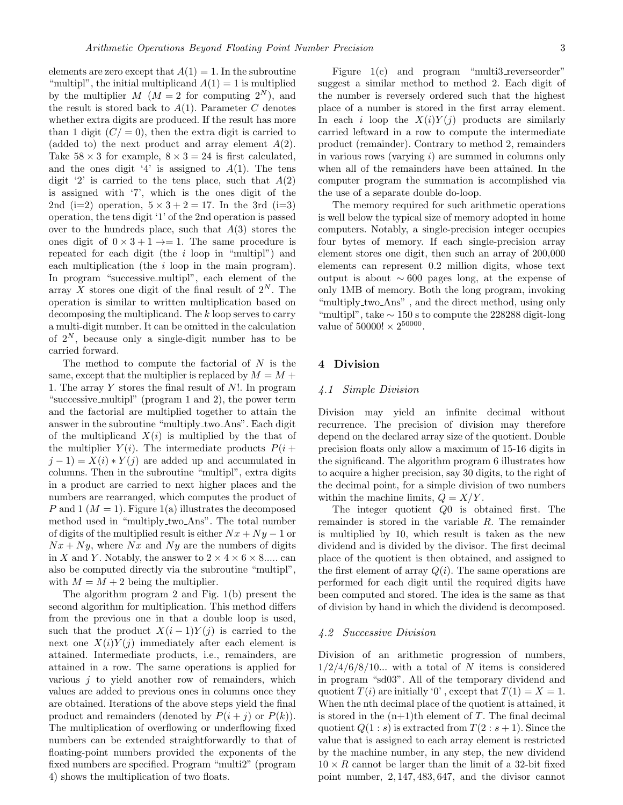elements are zero except that  $A(1) = 1$ . In the subroutine "multipl", the initial multiplicand  $A(1) = 1$  is multiplied by the multiplier  $M$  ( $M = 2$  for computing  $2^N$ ), and the result is stored back to  $A(1)$ . Parameter C denotes whether extra digits are produced. If the result has more than 1 digit  $(C/ = 0)$ , then the extra digit is carried to (added to) the next product and array element  $A(2)$ . Take  $58 \times 3$  for example,  $8 \times 3 = 24$  is first calculated, and the ones digit '4' is assigned to  $A(1)$ . The tens digit '2' is carried to the tens place, such that  $A(2)$ is assigned with '7', which is the ones digit of the 2nd (i=2) operation,  $5 \times 3 + 2 = 17$ . In the 3rd (i=3) operation, the tens digit '1' of the 2nd operation is passed over to the hundreds place, such that  $A(3)$  stores the ones digit of  $0 \times 3 + 1 \rightarrow = 1$ . The same procedure is repeated for each digit (the  $i$  loop in "multipl") and each multiplication (the i loop in the main program). In program "successive multipl", each element of the array X stores one digit of the final result of  $2^N$ . The operation is similar to written multiplication based on decomposing the multiplicand. The k loop serves to carry a multi-digit number. It can be omitted in the calculation of  $2^N$ , because only a single-digit number has to be carried forward.

The method to compute the factorial of  $N$  is the same, except that the multiplier is replaced by  $M = M +$ 1. The array Y stores the final result of N!. In program "successive multipl" (program 1 and 2), the power term and the factorial are multiplied together to attain the answer in the subroutine "multiply two Ans". Each digit of the multiplicand  $X(i)$  is multiplied by the that of the multiplier  $Y(i)$ . The intermediate products  $P(i +$  $j-1 = X(i) * Y(j)$  are added up and accumulated in columns. Then in the subroutine "multipl", extra digits in a product are carried to next higher places and the numbers are rearranged, which computes the product of P and 1 ( $M = 1$ ). Figure 1(a) illustrates the decomposed method used in "multiply two Ans". The total number of digits of the multiplied result is either  $Nx + Ny - 1$  or  $Nx + Ny$ , where Nx and Ny are the numbers of digits in X and Y. Notably, the answer to  $2 \times 4 \times 6 \times 8$ ..... can also be computed directly via the subroutine "multipl", with  $M = M + 2$  being the multiplier.

The algorithm program 2 and Fig. 1(b) present the second algorithm for multiplication. This method differs from the previous one in that a double loop is used, such that the product  $X(i-1)Y(j)$  is carried to the next one  $X(i)Y(j)$  immediately after each element is attained. Intermediate products, i.e., remainders, are attained in a row. The same operations is applied for various  $j$  to yield another row of remainders, which values are added to previous ones in columns once they are obtained. Iterations of the above steps yield the final product and remainders (denoted by  $P(i + j)$  or  $P(k)$ ). The multiplication of overflowing or underflowing fixed numbers can be extended straightforwardly to that of floating-point numbers provided the exponents of the fixed numbers are specified. Program "multi2" (program 4) shows the multiplication of two floats.

Figure 1(c) and program "multi3\_reverseorder" suggest a similar method to method 2. Each digit of the number is reversely ordered such that the highest place of a number is stored in the first array element. In each i loop the  $X(i)Y(j)$  products are similarly carried leftward in a row to compute the intermediate product (remainder). Contrary to method 2, remainders in various rows (varying  $i$ ) are summed in columns only when all of the remainders have been attained. In the computer program the summation is accomplished via the use of a separate double do-loop.

The memory required for such arithmetic operations is well below the typical size of memory adopted in home computers. Notably, a single-precision integer occupies four bytes of memory. If each single-precision array element stores one digit, then such an array of 200,000 elements can represent 0.2 million digits, whose text output is about ∼ 600 pages long, at the expense of only 1MB of memory. Both the long program, invoking "multiply two Ans" , and the direct method, using only "multipl", take  $\sim 150$  s to compute the 228288 digit-long value of  $50000! \times 2^{50000}$ .

#### 4 Division

#### 4.1 Simple Division

Division may yield an infinite decimal without recurrence. The precision of division may therefore depend on the declared array size of the quotient. Double precision floats only allow a maximum of 15-16 digits in the significand. The algorithm program 6 illustrates how to acquire a higher precision, say 30 digits, to the right of the decimal point, for a simple division of two numbers within the machine limits,  $Q = X/Y$ .

The integer quotient Q0 is obtained first. The remainder is stored in the variable R. The remainder is multiplied by 10, which result is taken as the new dividend and is divided by the divisor. The first decimal place of the quotient is then obtained, and assigned to the first element of array  $Q(i)$ . The same operations are performed for each digit until the required digits have been computed and stored. The idea is the same as that of division by hand in which the dividend is decomposed.

#### 4.2 Successive Division

Division of an arithmetic progression of numbers,  $1/2/4/6/8/10...$  with a total of N items is considered in program "sd03". All of the temporary dividend and quotient  $T(i)$  are initially '0', except that  $T(1) = X = 1$ . When the nth decimal place of the quotient is attained, it is stored in the  $(n+1)$ th element of T. The final decimal quotient  $Q(1 : s)$  is extracted from  $T(2 : s + 1)$ . Since the value that is assigned to each array element is restricted by the machine number, in any step, the new dividend  $10 \times R$  cannot be larger than the limit of a 32-bit fixed point number, 2, 147, 483, 647, and the divisor cannot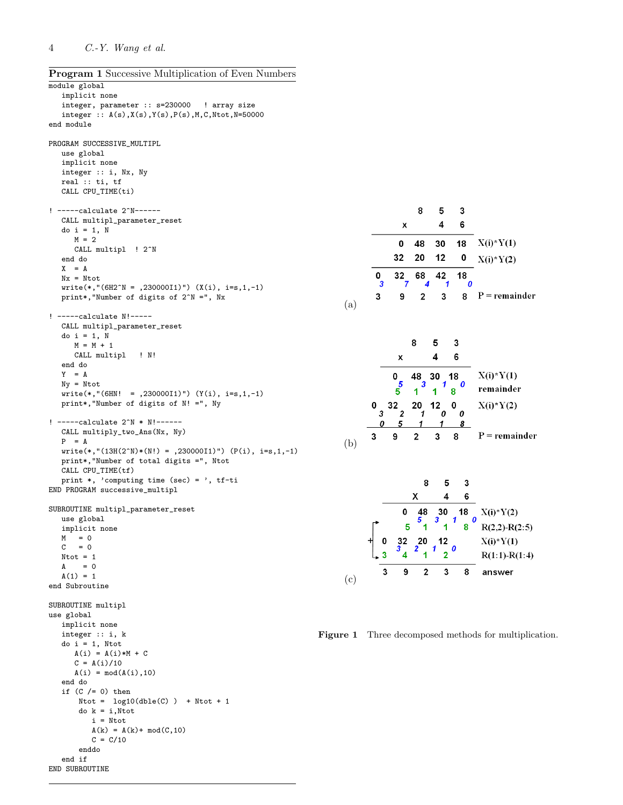Program 1 Successive Multiplication of Even Numbers

```
module global
  implicit none
   integer, parameter :: s=230000 ! array size
   integer :: A(s),X(s),Y(s),P(s),M,C,Ntot,N=50000
end module
PROGRAM SUCCESSIVE_MULTIPL
   use global
   implicit none
   integer :: i, Nx, Ny
   real :: ti, tf
   CALL CPU_TIME(ti)
! -----calculate 2^N------
   CALL multipl_parameter_reset
   do i = 1, N
     M = 2CALL multipl ! 2<sup>^N</sup>
   end do
   X = ANx = Ntot
   write(*, " (6H2^N = ,230000I1)") (X(i), i=s,1,-1)print*,"Number of digits of 2^N =", Nx
! -----calculate N!-----
   CALL multipl_parameter_reset
   do i = 1, NM = M + 1CALL multipl ! N!
   end do
   Y = ANy = Ntot
   write(*, " (6HN! = ,230000I1)") (Y(i), i=s,1,-1)print*,"Number of digits of N! =", Ny
! -----calculate 2^N * N!------
   CALL multiply_two_Ans(Nx, Ny)
   P = Awrite(*,"(13H(2^N)*(N!) = ,230000I1)") (P(i), i=s,1,-1)print*,"Number of total digits =", Ntot
   CALL CPU_TIME(tf)
   print *, 'computing time (sec) = ', tf-ti
END PROGRAM successive_multipl
SUBROUTINE multipl_parameter_reset
   use global
   implicit none
   M = 0C = 0Ntot = 1A = 0A(1) = 1end Subroutine
SUBROUTINE multipl
use global
   implicit none
   integer :: i, k
   do i = 1, Ntot
     A(i) = A(i)*M + CC = A(i)/10A(i) = mod(A(i), 10)end do
   if (C /= 0) then
      Ntot = log10(dble(C)) + Ntot + 1do k = i,Ntot
         i = Ntot
         A(k) = A(k) + mod(C, 10)C = C/10enddo
   end if
END SUBROUTINE
```

|     |                  |                    | 8                       | 5       | 3       |                     |
|-----|------------------|--------------------|-------------------------|---------|---------|---------------------|
|     |                  | X                  |                         | 4       | 6       |                     |
|     |                  | 0                  | 48                      | 30      | 18      | $X(i)*Y(1)$         |
|     |                  | 32                 | 20                      | 12      | 0       | $X(i)*Y(2)$         |
|     | 0<br>3           | 32<br>7            | 68<br>4                 | 42<br>1 | 18<br>0 |                     |
| (a) | 3                | 9                  | $\overline{\mathbf{c}}$ | 3       | 8       | $P = remainder$     |
|     |                  |                    |                         |         |         |                     |
|     |                  |                    | 8                       | 5       | 3       |                     |
|     |                  | X                  |                         | 4       | 6       |                     |
|     |                  |                    |                         |         |         |                     |
|     |                  | 0<br>$\frac{5}{5}$ | 48<br>3                 | 30<br>1 | 18<br>0 | $X(i)*Y(1)$         |
|     |                  |                    | 1                       | 1       | 8       | remainder           |
|     | 0<br>3           | 32<br>2            | 20<br>1                 | 12<br>0 | 0<br>0  | $X(i)*Y(2)$         |
|     | $\boldsymbol{0}$ | 5                  | 1                       |         | 8       |                     |
| (b) | 3                | 9                  | $\overline{2}$          | 3       | 8       | $P = remainder$     |
|     |                  |                    |                         |         |         |                     |
|     |                  |                    | 8                       | 5       | 3       |                     |
|     |                  |                    | Χ                       | 4       | 6       |                     |
|     |                  | 0                  |                         | 30      | 18      |                     |
|     |                  |                    | $\frac{48}{5}$          | 3       | 1<br>0  | $X(i)*Y(2)$         |
|     |                  | 5                  | 1                       | 1       | 8       | $R(2,2)$ - $R(2:5)$ |

 $\begin{smallmatrix} 20 \\ 1 \end{smallmatrix}$  $\boldsymbol{0}$ -3  $\overline{\mathbf{2}}$  $\overline{2}$  $\sqrt{3}$  $\overline{\mathbf{4}}$  $R(1:1)-R(1:4)$  $\mathbf{3}$ 9  $\overline{2}$  $3<sup>7</sup>$ 8 answer (c)

 $X(i)*Y(1)$ 

32 20 12

 $\mathbf 0$ 

Figure 1 Three decomposed methods for multiplication.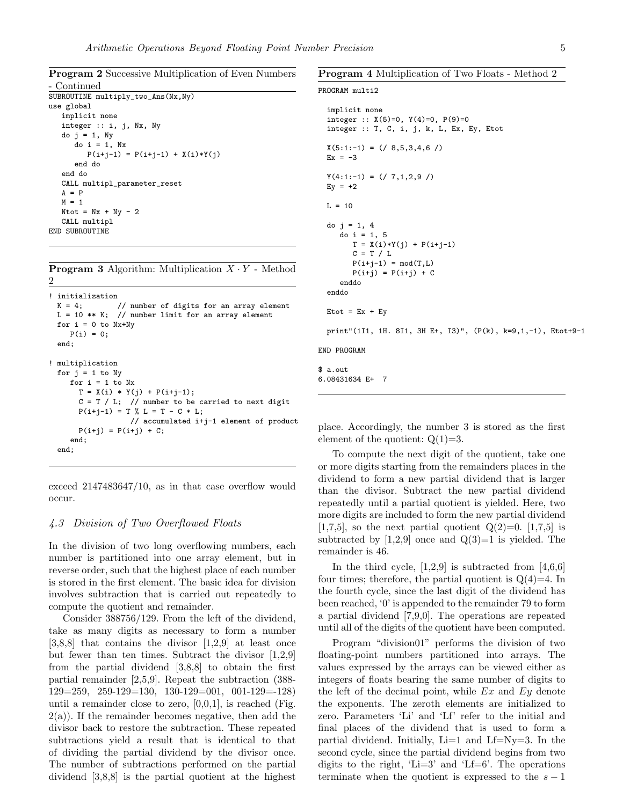Program 2 Successive Multiplication of Even Numbers

```
- Continued
SUBROUTINE multiply_two_Ans(Nx,Ny)
use global
   implicit none
   integer :: i, j, Nx, Ny
   do j = 1, Ny
      do i = 1, NxP(i+j-1) = P(i+j-1) + X(i)*Y(j)end do
   end do
   CALL multipl_parameter_reset
   A = PM = 1Ntot = Nx + Ny - 2CALL multipl
END SUBROUTINE
```
**Program 3** Algorithm: Multiplication  $X \cdot Y$  - Method 2

```
! initialization<br>K = 4;
                // number of digits for an array element
 L = 10 ** K; // number limit for an array element
 for i = 0 to Nx+NyP(i) = 0;end;
! multiplication
 for j = 1 to Nyfor i = 1 to NxT = X(i) * Y(j) + P(i+j-1);C = T / L; // number to be carried to next digit
      P(i+j-1) = T \% L = T - C * L;// accumulated i+j-1 element of product
      P(i+j) = P(i+j) + C;end;
  end;
```
exceed 2147483647/10, as in that case overflow would occur.

#### 4.3 Division of Two Overflowed Floats

In the division of two long overflowing numbers, each number is partitioned into one array element, but in reverse order, such that the highest place of each number is stored in the first element. The basic idea for division involves subtraction that is carried out repeatedly to compute the quotient and remainder.

Consider 388756/129. From the left of the dividend, take as many digits as necessary to form a number  $[3,8,8]$  that contains the divisor  $[1,2,9]$  at least once but fewer than ten times. Subtract the divisor [1,2,9] from the partial dividend [3,8,8] to obtain the first partial remainder [2,5,9]. Repeat the subtraction (388- 129=259, 259-129=130, 130-129=001, 001-129=-128) until a remainder close to zero,  $[0,0,1]$ , is reached (Fig.  $2(a)$ ). If the remainder becomes negative, then add the divisor back to restore the subtraction. These repeated subtractions yield a result that is identical to that of dividing the partial dividend by the divisor once. The number of subtractions performed on the partial dividend [3,8,8] is the partial quotient at the highest

#### Program 4 Multiplication of Two Floats - Method 2

#### PROGRAM multi2

```
implicit none
  integer :: X(5)=0, Y(4)=0, P(9)=0integer :: T, C, i, j, k, L, Ex, Ey, Etot
 X(5:1:-1) = (78,5,3,4,6)Ex = -3Y(4:1:-1) = (7,1,2,9)Ey = +2L = 10do j = 1, 4\frac{3}{40} i = 1, 5
       T = X(i)*Y(j) + P(i+j-1)C = T / LP(i+j-1) = mod(T,L)P(i+j) = P(i+j) + Cenddo
  enddo
 Etot = Ex + Eyprint"(1I1, 1H. 8I1, 3H E+, I3)", (P(k), k=9,1,-1), Etot+9-1
END PROGRAM
$ a.out
6.08431634 E+ 7
```
place. Accordingly, the number 3 is stored as the first element of the quotient:  $Q(1)=3$ .

To compute the next digit of the quotient, take one or more digits starting from the remainders places in the dividend to form a new partial dividend that is larger than the divisor. Subtract the new partial dividend repeatedly until a partial quotient is yielded. Here, two more digits are included to form the new partial dividend [1,7,5], so the next partial quotient  $Q(2)=0$ . [1,7,5] is subtracted by  $[1,2,9]$  once and  $Q(3)=1$  is yielded. The remainder is 46.

In the third cycle,  $[1,2,9]$  is subtracted from  $[4,6,6]$ four times; therefore, the partial quotient is  $Q(4)=4$ . In the fourth cycle, since the last digit of the dividend has been reached, '0' is appended to the remainder 79 to form a partial dividend [7,9,0]. The operations are repeated until all of the digits of the quotient have been computed.

Program "division01" performs the division of two floating-point numbers partitioned into arrays. The values expressed by the arrays can be viewed either as integers of floats bearing the same number of digits to the left of the decimal point, while  $Ex$  and  $Ey$  denote the exponents. The zeroth elements are initialized to zero. Parameters 'Li' and 'Lf' refer to the initial and final places of the dividend that is used to form a partial dividend. Initially,  $Li=1$  and  $Lf=Nv=3$ . In the second cycle, since the partial dividend begins from two digits to the right, 'Li=3' and 'Lf=6'. The operations terminate when the quotient is expressed to the  $s - 1$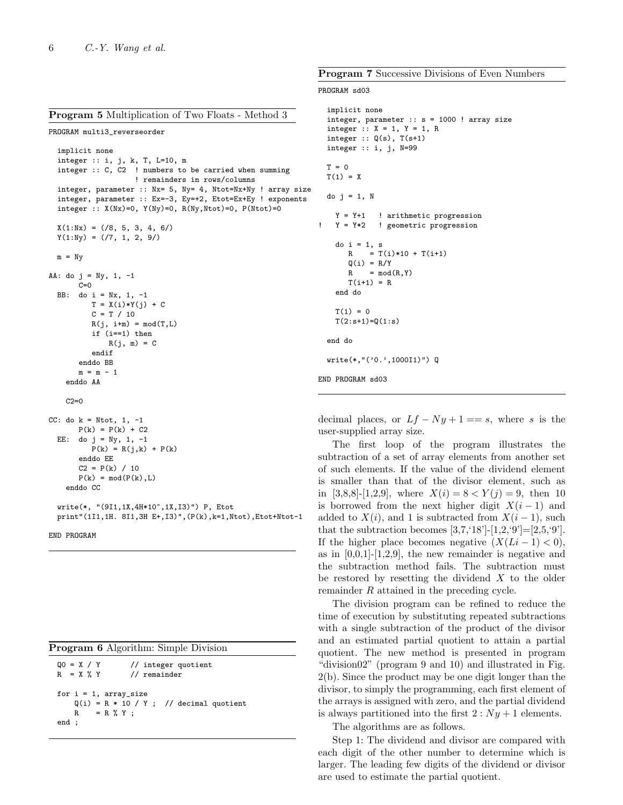|  |  | <b>Program 5</b> Multiplication of Two Floats - Method 3 |  |  |  |
|--|--|----------------------------------------------------------|--|--|--|
|--|--|----------------------------------------------------------|--|--|--|

```
PROGRAM multi3_reverseorder
```

```
implicit none
  integer :: i, j, k, T, L=10, m
  integer :: C, C2 ! numbers to be carried when summing
                    ! remainders in rows/columns
  integer, parameter :: Nx= 5, Ny= 4, Ntot=Nx+Ny ! array size
  integer, parameter :: Ex=-3, Ey=+2, Etot=Ex+Ey ! exponents
  integer :: X(Nx)=0, Y(Ny)=0, R(Ny,Ntot)=0, P(Ntot)=0X(1:Nx) = (\frac{3}{6}, 5, 3, 4, 6)Y(1:Ny) = \frac{\binom{7}{7}, 1, 2, 9}{}m = NvAA: do j = Ny, 1, -1C=0BB: do i = Nx, 1, -1
          T = X(i)*Y(j) + CC = T / 10R(j, i+m) = mod(T,L)if (i==1) then
              R(j, m) = Cendif
       enddo BB
       m = m - 1enddo AA
    C2 = 0CC: do k = Ntot, 1, -1
       P(k) = P(k) + C2EE: do j = Ny, 1, -1P(k) = R(j, k) + P(k)enddo EE
       C2 = P(k) / 10P(k) = mod(P(k), L)enddo CC
  write(*, "(9I1,1X,4H*10^,1X,I3)") P, Etot
```
print"(1I1,1H. 8I1,3H E+,I3)",(P(k),k=1,Ntot),Etot+Ntot-1

END PROGRAM

|  | <b>Program 6</b> Algorithm: Simple Division |  |
|--|---------------------------------------------|--|

| $00 = X / Y$<br>// integer quotient<br>$R = X \mathcal{X} Y$<br>$\frac{1}{\sqrt{2}}$ remainder |                                           |  |  |  |  |  |
|------------------------------------------------------------------------------------------------|-------------------------------------------|--|--|--|--|--|
| for $i = 1$ , array_size<br>$= R \mathcal{K} Y$ ;<br>R<br>end :                                | $Q(i) = R * 10 / Y$ ; // decimal quotient |  |  |  |  |  |

Program 7 Successive Divisions of Even Numbers

#### PROGRAM sd03

```
implicit none
  integer, parameter :: s = 1000 ! array size
  integer :: X = 1, Y = 1, R
  integer :: Q(s), T(s+1)integer :: i, j, N=99
 T = 0T(1) = Xdo j = 1, N
   Y = Y+1 ! arithmetic progression
   Y = Y*2 ! geometric progression
    do i = 1, s
      R = T(i)*10 + T(i+1)Q(i) = R/YR = mod(R, Y)T(i+1) = Rend do
   T(1) = 0T(2: s+1)=Q(1: s)end do
  write(*,"('0.',1000I1)") Q
END PROGRAM sd03
```
decimal places, or  $Lf - Ny + 1 == s$ , where s is the user-supplied array size.

The first loop of the program illustrates the subtraction of a set of array elements from another set of such elements. If the value of the dividend element is smaller than that of the divisor element, such as in [3,8,8]-[1,2,9], where  $X(i) = 8 < Y(j) = 9$ , then 10 is borrowed from the next higher digit  $X(i-1)$  and added to  $X(i)$ , and 1 is subtracted from  $X(i-1)$ , such that the subtraction becomes  $[3,7,'18']$ - $[1,2,'9']=[2,5,'9']$ . If the higher place becomes negative  $(X(Li - 1) < 0)$ , as in  $[0,0,1]$ - $[1,2,9]$ , the new remainder is negative and the subtraction method fails. The subtraction must be restored by resetting the dividend  $X$  to the older remainder R attained in the preceding cycle.

The division program can be refined to reduce the time of execution by substituting repeated subtractions with a single subtraction of the product of the divisor and an estimated partial quotient to attain a partial quotient. The new method is presented in program "division02" (program 9 and 10) and illustrated in Fig. 2(b). Since the product may be one digit longer than the divisor, to simply the programming, each first element of the arrays is assigned with zero, and the partial dividend is always partitioned into the first  $2: Ny + 1$  elements.

The algorithms are as follows.

Step 1: The dividend and divisor are compared with each digit of the other number to determine which is larger. The leading few digits of the dividend or divisor are used to estimate the partial quotient.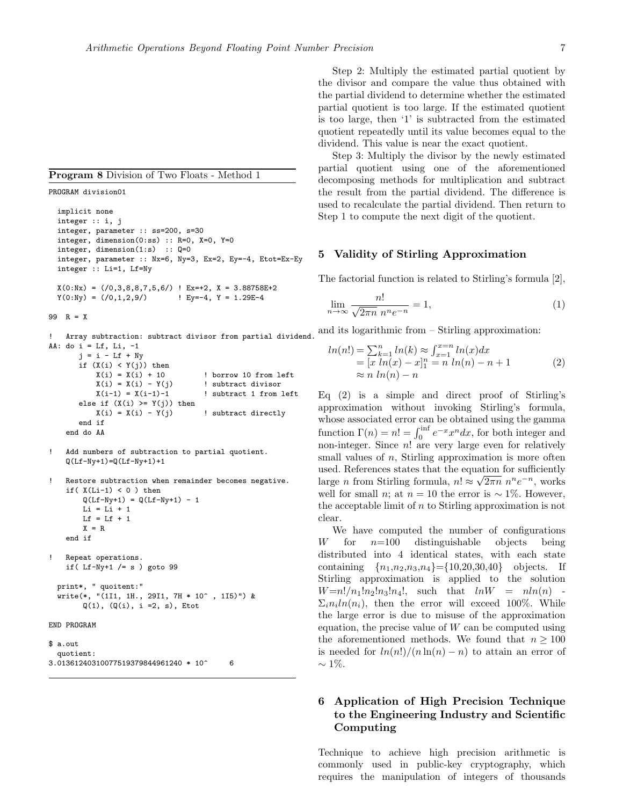PROGRAM division01

```
implicit none
integer :: i, j
integer, parameter :: ss=200, s=30
integer, dimension(0:ss) :: R=0, X=0, Y=0
integer, dimension(1:s) :: Q=0
integer, parameter :: Nx=6, Ny=3, Ex=2, Ey=-4, Etot=Ex-Ey
integer :: Li=1, Lf=Ny
X(0:Nx) = \binom{70,3,8,8,7,5,6}{1} EX=+2, X = 3.88758E+2<br>Y(0:Ny) = \binom{70,1,2,9}{1} Ey=-4, Y = 1.29E-4y = -4, Y = 1.29E-4
```
99  $R = X$ 

! Array subtraction: subtract divisor from partial dividend. AA: do i =  $Lf$ ,  $Li$ ,  $-1$ 

```
j = i - Lf + Nyif (X(i) < Y(j)) then
      X(i) = X(i) + 10 ! borrow 10 from left
      X(i) = X(i) - Y(j) ! subtract divisor
      X(i-1) = X(i-1)-1 ! subtract 1 from left
   else if (X(i) >= Y(j)) then<br>X(i) = X(i) - Y(j)! subtract directly
   end if
end do AA
```

```
Add numbers of subtraction to partial quotient.
Q(Lf-Ny+1)=Q(Lf-Ny+1)+1
```

```
Restore subtraction when remainder becomes negative.
if(X(Li-1) < 0) then
    Q(Lf-Ny+1) = Q(Lf-Ny+1) - 1Li = Li + 1
   Lf = Lf + 1
    X = Rend if
Repeat operations.
if( Lf-Ny+1 /= s ) goto 99
```

```
print*, " quoitent:"
write(*, "(1I1, 1H., 29I1, 7H * 10^ , 1I5)") &
      Q(1), (Q(i), i = 2, s), Etot
```
END PROGRAM

```
$ a.out
  quotient:
3.01361240310077519379844961240 * 10^ 6
```
Step 2: Multiply the estimated partial quotient by the divisor and compare the value thus obtained with the partial dividend to determine whether the estimated partial quotient is too large. If the estimated quotient is too large, then '1' is subtracted from the estimated quotient repeatedly until its value becomes equal to the dividend. This value is near the exact quotient.

Step 3: Multiply the divisor by the newly estimated partial quotient using one of the aforementioned decomposing methods for multiplication and subtract the result from the partial dividend. The difference is used to recalculate the partial dividend. Then return to Step 1 to compute the next digit of the quotient.

### 5 Validity of Stirling Approximation

The factorial function is related to Stirling's formula [2],

$$
\lim_{n \to \infty} \frac{n!}{\sqrt{2\pi n} \; n^n e^{-n}} = 1,\tag{1}
$$

and its logarithmic from – Stirling approximation:

$$
ln(n!) = \sum_{k=1}^{n} ln(k) \approx \int_{x=1}^{x=n} ln(x) dx
$$
  
=  $[x ln(x) - x]_1^n = n ln(n) - n + 1$   
 $\approx n ln(n) - n$  (2)

Eq (2) is a simple and direct proof of Stirling's approximation without invoking Stirling's formula, whose associated error can be obtained using the gamma function  $\Gamma(n) = n! = \int_0^{\inf} e^{-x} x^n dx$ , for both integer and non-integer. Since  $n!$  are very large even for relatively small values of  $n$ , Stirling approximation is more often used. References states that the equation for sufficiently large *n* from Stirling formula,  $n! \approx \sqrt{2\pi n} n^n e^{-n}$ , works well for small *n*; at  $n = 10$  the error is ~ 1%. However, the acceptable limit of  $n$  to Stirling approximation is not clear.

We have computed the number of configurations W for  $n=100$  distinguishable objects being distributed into 4 identical states, with each state containing  $\{n_1,n_2,n_3,n_4\} = \{10,20,30,40\}$  objects. If Stirling approximation is applied to the solution  $W=n!/n_1!n_2!n_3!n_4!,$  such that  $lnW = nln(n)$  $\Sigma_i n_i ln(n_i)$ , then the error will exceed 100%. While the large error is due to misuse of the approximation equation, the precise value of  $W$  can be computed using the aforementioned methods. We found that  $n \geq 100$ is needed for  $ln(n!)/(n ln(n) - n)$  to attain an error of  $\sim$  1\%.

### 6 Application of High Precision Technique to the Engineering Industry and Scientific Computing

Technique to achieve high precision arithmetic is commonly used in public-key cryptography, which requires the manipulation of integers of thousands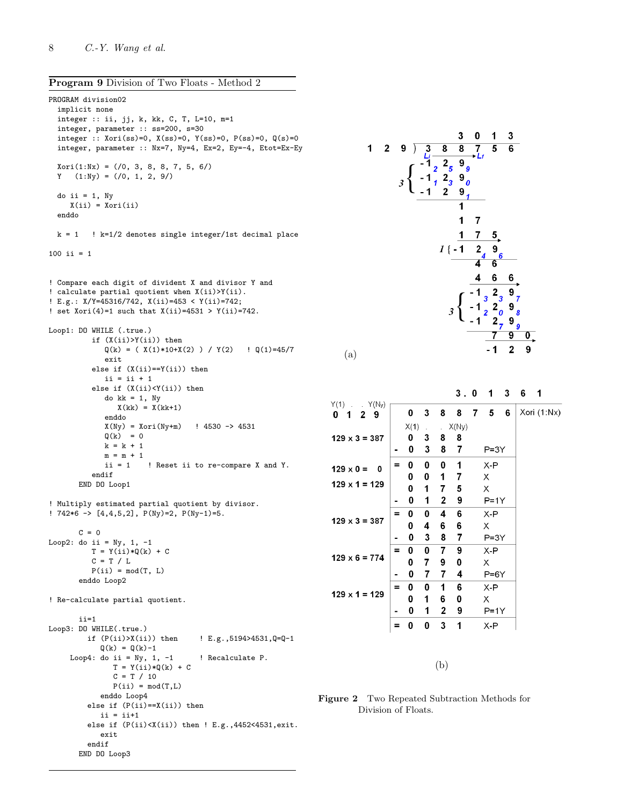Program 9 Division of Two Floats - Method 2

```
PROGRAM division02
  implicit none
  integer :: ii, jj, k, kk, C, T, L=10, m=1
  integer, parameter :: ss=200, s=30
  integer :: Xori(ss)=0, X(ss)=0, Y(ss)=0, P(ss)=0, Q(s)=0integer, parameter :: Nx=7, Ny=4, Ex=2, Ey=-4, Etot=Ex-Ey
 Xori(1:Nx) = (/0, 3, 8, 8, 7, 5, 6/)Y (1:Ny) = (/0, 1, 2, 9/)do ii = 1, Ny
    X(i) = Xori(i)enddo
 k = 1 ! k=1/2 denotes single integer/1st decimal place
100 ii = 1
! Compare each digit of divident X and divisor Y and
! calculate partial quotient when X(ii)>Y(ii).
! E.g.: X/Y=45316/742, X(ii)=453 < Y(ii)=742;
! set Xori(4)=1 such that X(ii)=4531 > Y(ii)=742.
Loop1: DO WHILE (.true.)
         if (X(ii)>Y(ii)) then
            Q(k) = (X(1)*10+X(2)) / Y(2) ! Q(1)=45/7exit
          else if (X(ii)==Y(ii)) then
            ii = ii + 1else if (X(ii)<Y(ii)) then
            do kk = 1, Ny
               X(kk) = X(kk+1)enddo
            X(Ny) = Xori(Ny+m) ! 4530 -> 4531
            Q(k) = 0k = k + 1m = m + 1ii = 1 ! Reset ii to re-compare X and Y.
         endif
      END DO Loop1
! Multiply estimated partial quotient by divisor.
! 742*6 -> [4,4,5,2], P(Ny)=2, P(Ny-1)=5.
      C = 0Loop2: do ii = Ny, 1, -1
         T = Y(ii)*Q(k) + CC = T / LP(i) = mod(T, L)enddo Loop2
! Re-calculate partial quotient.
       ii=1
Loop3: DO WHILE(.true.)
        if (P(ii)>X(ii)) then ! E.g.,5194>4531,Q=Q-1
           Q(k) = Q(k)-1Loop4: do ii = Ny, 1, -1 ! Recalculate P.
              T = Y(ii)*Q(k) + CC = T / 10P(i) = mod(T,L)enddo Loop4
         else if (P(ii)==X(ii)) then
           ii = ii+1
        else if (P(ii) < X(ii)) then ! E.g., 4452<4531, exit.
           exit
        endif
       END DO Loop3
```


(a)

|                                                             |          |      |   |   | 3.0   |   | 1        | - 3 | 6 | 1           |
|-------------------------------------------------------------|----------|------|---|---|-------|---|----------|-----|---|-------------|
| Y(1)<br>. $Y(N_y)$<br>$\sim$<br>0<br>$\mathbf{2}$<br>9<br>1 |          | 0    | 3 | 8 | 8     | 7 | 5        | 6   |   | Xori (1:Nx) |
|                                                             |          | X(1) |   |   | X(Ny) |   |          |     |   |             |
| $129 \times 3 = 387$                                        |          | 0    | 3 | 8 | 8     |   |          |     |   |             |
|                                                             |          | 0    | 3 | 8 | 7     |   | P=3Y     |     |   |             |
| $129 \times 0 =$<br>0                                       | $\equiv$ | 0    | 0 | 0 | 1     |   | $X - P$  |     |   |             |
|                                                             |          | 0    | 0 | 1 | 7     |   | Х        |     |   |             |
| $129 \times 1 = 129$                                        |          | 0    | 1 | 7 | 5     |   | Х        |     |   |             |
|                                                             |          | 0    | 1 | 2 | 9     |   | $P = 1Y$ |     |   |             |
|                                                             | $\equiv$ | 0    | 0 | 4 | 6     |   | $X - P$  |     |   |             |
| $129 \times 3 = 387$                                        |          | 0    | 4 | 6 | 6     |   | Х        |     |   |             |
|                                                             |          | 0    | 3 | 8 | 7     |   | P=3Y     |     |   |             |
|                                                             | $\equiv$ | 0    | 0 | 7 | 9     |   | X-P      |     |   |             |
| $129 \times 6 = 774$                                        |          | 0    | 7 | 9 | 0     |   | Х        |     |   |             |
|                                                             |          | 0    | 7 | 7 | 4     |   | $P=6Y$   |     |   |             |
|                                                             | $=$      | 0    | 0 | 1 | 6     |   | X-P      |     |   |             |
| $129 \times 1 = 129$                                        |          | 0    | 1 | 6 | 0     |   | х        |     |   |             |
|                                                             |          | 0    | 1 | 2 | 9     |   | $P=1Y$   |     |   |             |
|                                                             | Ξ        | 0    | 0 | 3 | 1     |   | X-P      |     |   |             |
|                                                             |          |      |   |   |       |   |          |     |   |             |

(b)

Figure 2 Two Repeated Subtraction Methods for Division of Floats.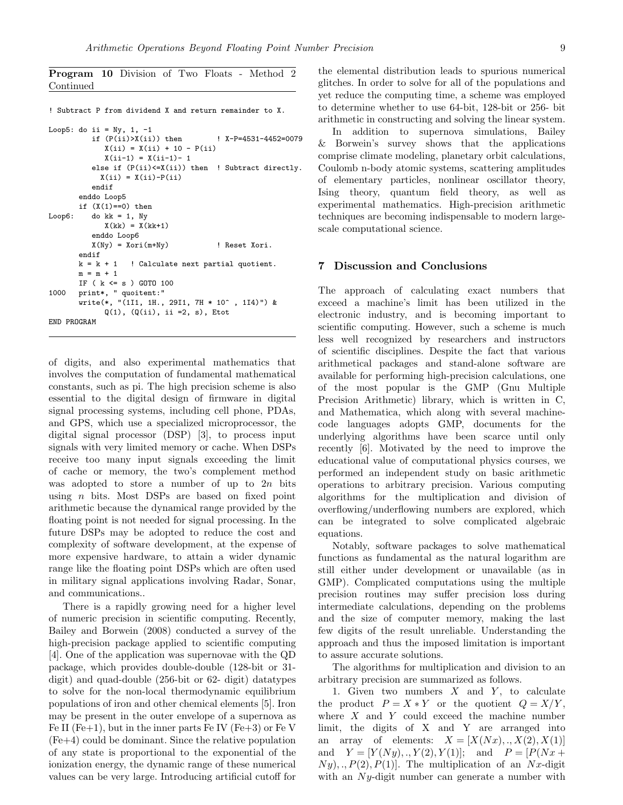Program 10 Division of Two Floats - Method 2 Continued

! Subtract P from dividend X and return remainder to X. Loop5: do ii =  $Ny$ , 1, -1 if  $(P(ii) > X(ii))$  then  $N-P=4531-4452=0079$  $X(ii) = X(ii) + 10 - P(ii)$  $X(ii-1) = X(ii-1) - 1$ else if (P(ii)<=X(ii)) then ! Subtract directly.  $X(i) = X(i) - P(i)$ endif enddo Loop5 if  $(X(1)=0)$  then Loop6: do  $kk = 1$ , Ny  $X(kk) = X(kk+1)$ enddo Loop6 X(Ny) = Xori(m+Ny) ! Reset Xori. endif  $k = k + 1$  ! Calculate next partial quotient.  $m = m + 1$ IF ( k <= s ) GOTO 100 1000 print\*, " quoitent:" .<br>write(\*, "(1I1, 1H., 29I1, 7H \* 10^ , 1I4)") &  $Q(1)$ ,  $(Q(ii)$ , ii =2, s), Etot END PROGRAM

of digits, and also experimental mathematics that involves the computation of fundamental mathematical constants, such as pi. The high precision scheme is also essential to the digital design of firmware in digital signal processing systems, including cell phone, PDAs, and GPS, which use a specialized microprocessor, the digital signal processor (DSP) [3], to process input signals with very limited memory or cache. When DSPs receive too many input signals exceeding the limit of cache or memory, the two's complement method was adopted to store a number of up to  $2n$  bits using  $n$  bits. Most DSPs are based on fixed point arithmetic because the dynamical range provided by the floating point is not needed for signal processing. In the future DSPs may be adopted to reduce the cost and complexity of software development, at the expense of more expensive hardware, to attain a wider dynamic range like the floating point DSPs which are often used in military signal applications involving Radar, Sonar, and communications..

There is a rapidly growing need for a higher level of numeric precision in scientific computing. Recently, Bailey and Borwein (2008) conducted a survey of the high-precision package applied to scientific computing [4]. One of the application was supernovae with the QD package, which provides double-double (128-bit or 31 digit) and quad-double (256-bit or 62- digit) datatypes to solve for the non-local thermodynamic equilibrium populations of iron and other chemical elements [5]. Iron may be present in the outer envelope of a supernova as Fe II (Fe+1), but in the inner parts Fe IV (Fe+3) or Fe V (Fe+4) could be dominant. Since the relative population of any state is proportional to the exponential of the ionization energy, the dynamic range of these numerical values can be very large. Introducing artificial cutoff for the elemental distribution leads to spurious numerical glitches. In order to solve for all of the populations and yet reduce the computing time, a scheme was employed to determine whether to use 64-bit, 128-bit or 256- bit arithmetic in constructing and solving the linear system.

In addition to supernova simulations, Bailey & Borwein's survey shows that the applications comprise climate modeling, planetary orbit calculations, Coulomb n-body atomic systems, scattering amplitudes of elementary particles, nonlinear oscillator theory, Ising theory, quantum field theory, as well as experimental mathematics. High-precision arithmetic techniques are becoming indispensable to modern largescale computational science.

#### 7 Discussion and Conclusions

The approach of calculating exact numbers that exceed a machine's limit has been utilized in the electronic industry, and is becoming important to scientific computing. However, such a scheme is much less well recognized by researchers and instructors of scientific disciplines. Despite the fact that various arithmetical packages and stand-alone software are available for performing high-precision calculations, one of the most popular is the GMP (Gnu Multiple Precision Arithmetic) library, which is written in C, and Mathematica, which along with several machinecode languages adopts GMP, documents for the underlying algorithms have been scarce until only recently [6]. Motivated by the need to improve the educational value of computational physics courses, we performed an independent study on basic arithmetic operations to arbitrary precision. Various computing algorithms for the multiplication and division of overflowing/underflowing numbers are explored, which can be integrated to solve complicated algebraic equations.

Notably, software packages to solve mathematical functions as fundamental as the natural logarithm are still either under development or unavailable (as in GMP). Complicated computations using the multiple precision routines may suffer precision loss during intermediate calculations, depending on the problems and the size of computer memory, making the last few digits of the result unreliable. Understanding the approach and thus the imposed limitation is important to assure accurate solutions.

The algorithms for multiplication and division to an arbitrary precision are summarized as follows.

1. Given two numbers  $X$  and  $Y$ , to calculate the product  $P = X * Y$  or the quotient  $Q = X/Y$ , where  $X$  and  $Y$  could exceed the machine number limit, the digits of X and Y are arranged into an array of elements:  $X = [X(Nx), X(2), X(1)]$ and  $Y = [Y(Ny), Y(2), Y(1)];$  and  $P = [P(Nx +$  $Ny$ ,  $P(2), P(1)$ . The multiplication of an Nx-digit with an  $Ny$ -digit number can generate a number with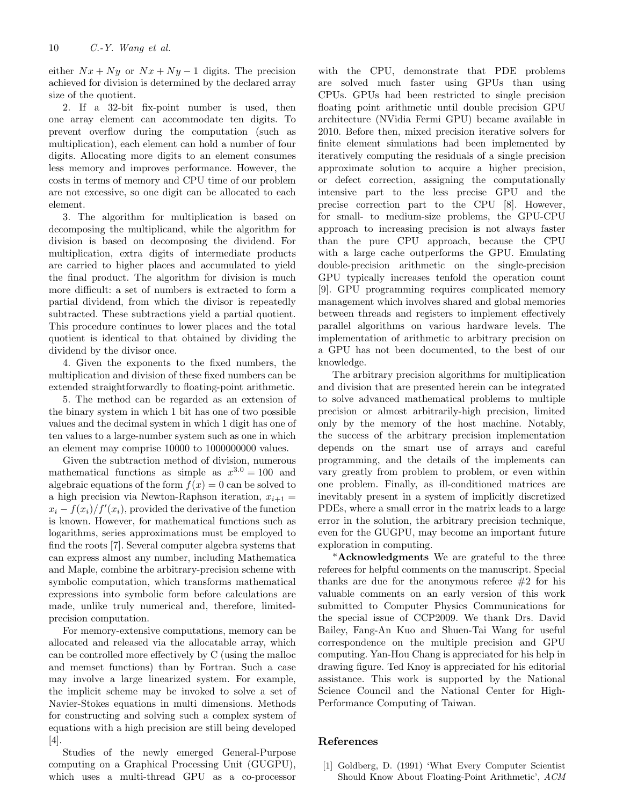either  $Nx + Ny$  or  $Nx + Ny - 1$  digits. The precision achieved for division is determined by the declared array size of the quotient.

2. If a 32-bit fix-point number is used, then one array element can accommodate ten digits. To prevent overflow during the computation (such as multiplication), each element can hold a number of four digits. Allocating more digits to an element consumes less memory and improves performance. However, the costs in terms of memory and CPU time of our problem are not excessive, so one digit can be allocated to each element.

3. The algorithm for multiplication is based on decomposing the multiplicand, while the algorithm for division is based on decomposing the dividend. For multiplication, extra digits of intermediate products are carried to higher places and accumulated to yield the final product. The algorithm for division is much more difficult: a set of numbers is extracted to form a partial dividend, from which the divisor is repeatedly subtracted. These subtractions yield a partial quotient. This procedure continues to lower places and the total quotient is identical to that obtained by dividing the dividend by the divisor once.

4. Given the exponents to the fixed numbers, the multiplication and division of these fixed numbers can be extended straightforwardly to floating-point arithmetic.

5. The method can be regarded as an extension of the binary system in which 1 bit has one of two possible values and the decimal system in which 1 digit has one of ten values to a large-number system such as one in which an element may comprise 10000 to 1000000000 values.

Given the subtraction method of division, numerous mathematical functions as simple as  $x^{3.0} = 100$  and algebraic equations of the form  $f(x) = 0$  can be solved to a high precision via Newton-Raphson iteration,  $x_{i+1} =$  $x_i - f(x_i) / f'(x_i)$ , provided the derivative of the function is known. However, for mathematical functions such as logarithms, series approximations must be employed to find the roots [7]. Several computer algebra systems that can express almost any number, including Mathematica and Maple, combine the arbitrary-precision scheme with symbolic computation, which transforms mathematical expressions into symbolic form before calculations are made, unlike truly numerical and, therefore, limitedprecision computation.

For memory-extensive computations, memory can be allocated and released via the allocatable array, which can be controlled more effectively by C (using the malloc and memset functions) than by Fortran. Such a case may involve a large linearized system. For example, the implicit scheme may be invoked to solve a set of Navier-Stokes equations in multi dimensions. Methods for constructing and solving such a complex system of equations with a high precision are still being developed [4].

Studies of the newly emerged General-Purpose computing on a Graphical Processing Unit (GUGPU), which uses a multi-thread GPU as a co-processor with the CPU, demonstrate that PDE problems are solved much faster using GPUs than using CPUs. GPUs had been restricted to single precision floating point arithmetic until double precision GPU architecture (NVidia Fermi GPU) became available in 2010. Before then, mixed precision iterative solvers for finite element simulations had been implemented by iteratively computing the residuals of a single precision approximate solution to acquire a higher precision, or defect correction, assigning the computationally intensive part to the less precise GPU and the precise correction part to the CPU [8]. However, for small- to medium-size problems, the GPU-CPU approach to increasing precision is not always faster than the pure CPU approach, because the CPU with a large cache outperforms the GPU. Emulating double-precision arithmetic on the single-precision GPU typically increases tenfold the operation count [9]. GPU programming requires complicated memory management which involves shared and global memories between threads and registers to implement effectively parallel algorithms on various hardware levels. The implementation of arithmetic to arbitrary precision on a GPU has not been documented, to the best of our knowledge.

The arbitrary precision algorithms for multiplication and division that are presented herein can be integrated to solve advanced mathematical problems to multiple precision or almost arbitrarily-high precision, limited only by the memory of the host machine. Notably, the success of the arbitrary precision implementation depends on the smart use of arrays and careful programming, and the details of the implements can vary greatly from problem to problem, or even within one problem. Finally, as ill-conditioned matrices are inevitably present in a system of implicitly discretized PDEs, where a small error in the matrix leads to a large error in the solution, the arbitrary precision technique, even for the GUGPU, may become an important future exploration in computing.

\*Acknowledgments We are grateful to the three referees for helpful comments on the manuscript. Special thanks are due for the anonymous referee  $#2$  for his valuable comments on an early version of this work submitted to Computer Physics Communications for the special issue of CCP2009. We thank Drs. David Bailey, Fang-An Kuo and Shuen-Tai Wang for useful correspondence on the multiple precision and GPU computing. Yan-Hou Chang is appreciated for his help in drawing figure. Ted Knoy is appreciated for his editorial assistance. This work is supported by the National Science Council and the National Center for High-Performance Computing of Taiwan.

### References

[1] Goldberg, D. (1991) 'What Every Computer Scientist Should Know About Floating-Point Arithmetic', ACM